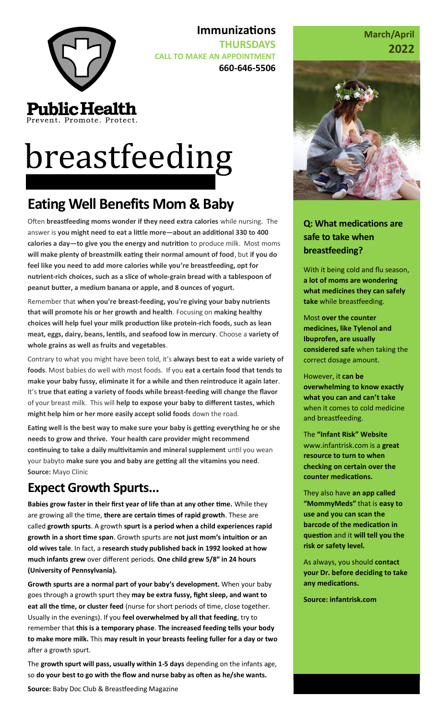

Prevent. Promote. Protect.

# **breastfeeding**

## **Eating Well Benefits Mom & Baby**

Often **breastfeeding moms wonder if they need extra calories** while nursing. The answer is **you might need to eat a little more—about an additional 330 to 400 calories a day—to give you the energy and nutrition** to produce milk. Most moms **will make plenty of breastmilk eating their normal amount of food**, but **if you do feel like you need to add more calories while you're breastfeeding, opt for nutrient-rich choices, such as a slice of whole-grain bread with a tablespoon of peanut butter, a medium banana or apple, and 8 ounces of yogurt.**

**Immunizations** 

**CALL TO MAKE AN APPOINTMENT**

**THURSDAYS** 

**660-646-5506**

Remember that **when you're breast-feeding, you're giving your baby nutrients that will promote his or her growth and health**. Focusing on **making healthy choices will help fuel your milk production like protein-rich foods, such as lean meat, eggs, dairy, beans, lentils, and seafood low in mercury**. Choose a **variety of whole grains as well as fruits and vegetables**.

Contrary to what you might have been told, it's **always best to eat a wide variety of foods**. Most babies do well with most foods. If you **eat a certain food that tends to make your baby fussy, eliminate it for a while and then reintroduce it again later**. It's **true that eating a variety of foods while breast-feeding will change the flavor**  of your breast milk. This will **help to expose your baby to different tastes, which might help him or her more easily accept solid foods** down the road.

**Eating well is the best way to make sure your baby is getting everything he or she needs to grow and thrive. Your health care provider might recommend continuing to take a daily multivitamin and mineral supplement** until you wean your babyto **make sure you and baby are getting all the vitamins you need**. **Source:** Mayo Clinic

## **Expect Growth Spurts...**

**Babies grow faster in their first year of life than at any other time.** While they are growing all the time, **there are certain times of rapid growth**. These are called **growth spurts**. A growth **spurt is a period when a child experiences rapid growth in a short time span**. Growth spurts are **not just mom's intuition or an old wives tale**. In fact, a **research study published back in 1992 looked at how much infants grew** over different periods. **One child grew 5/8″ in 24 hours (University of Pennsylvania).**

**Growth spurts are a normal part of your baby's development.** When your baby goes through a growth spurt they **may be extra fussy, fight sleep, and want to eat all the time, or cluster feed** (nurse for short periods of time, close together. Usually in the evenings). If you **feel overwhelmed by all that feeding**, try to remember that **this is a temporary phase**. **The increased feeding tells your body to make more milk.** This **may result in your breasts feeling fuller for a day or two**  after a growth spurt.

The **growth spurt will pass, usually within 1-5 days** depending on the infants age, so **do your best to go with the flow and nurse baby as often as he/she wants.**

**Source:** Baby Doc Club & Breastfeeding Magazine

#### **March/April 2022**



**Q: What medications are safe to take when breastfeeding?**

With it being cold and flu season, **a lot of moms are wondering what medicines they can safely take** while breastfeeding.

Most **over the counter medicines, like Tylenol and Ibuprofen, are usually considered safe** when taking the correct dosage amount.

However, it **can be overwhelming to know exactly what you can and can't take** when it comes to cold medicine and breastfeeding.

The **"Infant Risk" Website**  www.infantrisk.com is a **great resource to turn to when checking on certain over the counter medications.** 

They also have **an app called "MommyMeds"** that is **easy to use and you can scan the barcode of the medication in question** and it **will tell you the risk or safety level.** 

As always, you should **contact your Dr. before deciding to take any medications.**

**Source: infantrisk.com**